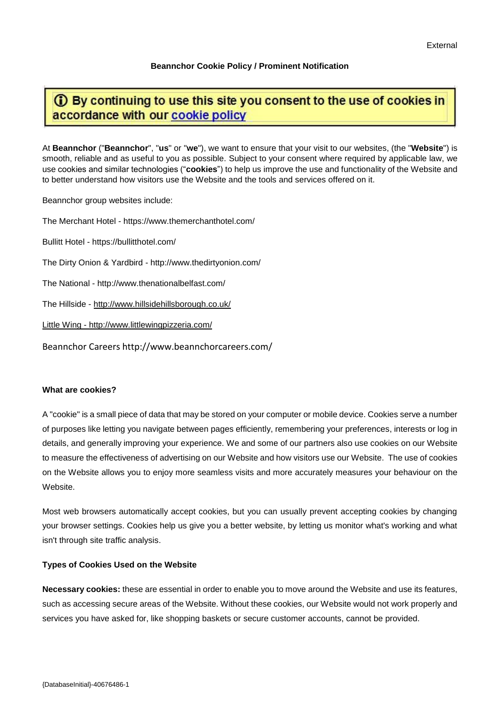# **Beannchor Cookie Policy / Prominent Notification**

# **1** By continuing to use this site you consent to the use of cookies in accordance with our cookie policy

At **Beannchor** ("**Beannchor**", "**us**" or "**we**"), we want to ensure that your visit to our websites, (the "**Website**") is smooth, reliable and as useful to you as possible. Subject to your consent where required by applicable law, we use cookies and similar technologies ("**cookies**") to help us improve the use and functionality of the Website and to better understand how visitors use the Website and the tools and services offered on it.

Beannchor group websites include:

The Merchant Hotel - https://www.themerchanthotel.com/ Bullitt Hotel - https://bullitthotel.com/

The Dirty Onion & Yardbird - http://www.thedirtyonion.com/

The National - http://www.thenationalbelfast.com/

The Hillside - <http://www.hillsidehillsborough.co.uk/>

Little Wing - http://www.littlewingpizzeria.com/

Beannchor Careers http://www.beannchorcareers.com/

#### **What are cookies?**

A "cookie" is a small piece of data that may be stored on your computer or mobile device. Cookies serve a number of purposes like letting you navigate between pages efficiently, remembering your preferences, interests or log in details, and generally improving your experience. We and some of our partners also use cookies on our Website to measure the effectiveness of advertising on our Website and how visitors use our Website. The use of cookies on the Website allows you to enjoy more seamless visits and more accurately measures your behaviour on the **Website** 

Most web browsers automatically accept cookies, but you can usually prevent accepting cookies by changing your browser settings. Cookies help us give you a better website, by letting us monitor what's working and what isn't through site traffic analysis.

#### **Types of Cookies Used on the Website**

**Necessary cookies:** these are essential in order to enable you to move around the Website and use its features, such as accessing secure areas of the Website. Without these cookies, our Website would not work properly and services you have asked for, like shopping baskets or secure customer accounts, cannot be provided.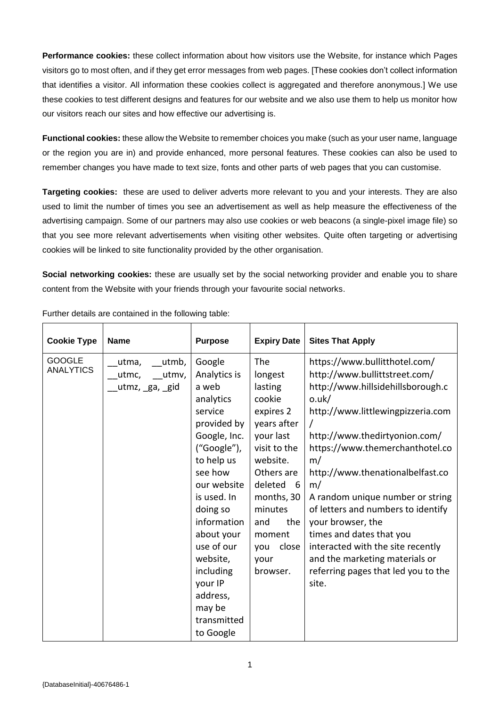**Performance cookies:** these collect information about how visitors use the Website, for instance which Pages visitors go to most often, and if they get error messages from web pages. [These cookies don't collect information that identifies a visitor. All information these cookies collect is aggregated and therefore anonymous.] We use these cookies to test different designs and features for our website and we also use them to help us monitor how our visitors reach our sites and how effective our advertising is.

**Functional cookies:** these allow the Website to remember choices you make (such as your user name, language or the region you are in) and provide enhanced, more personal features. These cookies can also be used to remember changes you have made to text size, fonts and other parts of web pages that you can customise.

**Targeting cookies:** these are used to deliver adverts more relevant to you and your interests. They are also used to limit the number of times you see an advertisement as well as help measure the effectiveness of the advertising campaign. Some of our partners may also use cookies or web beacons (a single-pixel image file) so that you see more relevant advertisements when visiting other websites. Quite often targeting or advertising cookies will be linked to site functionality provided by the other organisation.

**Social networking cookies:** these are usually set by the social networking provider and enable you to share content from the Website with your friends through your favourite social networks.

| <b>Cookie Type</b>                | <b>Name</b>                                       | <b>Purpose</b>                                                                                                                                                                                                                                                                                            | <b>Expiry Date</b>                                                                                                                                                                                                                   | <b>Sites That Apply</b>                                                                                                                                                                                                                                                                                                                                                                                                                                                                                                 |
|-----------------------------------|---------------------------------------------------|-----------------------------------------------------------------------------------------------------------------------------------------------------------------------------------------------------------------------------------------------------------------------------------------------------------|--------------------------------------------------------------------------------------------------------------------------------------------------------------------------------------------------------------------------------------|-------------------------------------------------------------------------------------------------------------------------------------------------------------------------------------------------------------------------------------------------------------------------------------------------------------------------------------------------------------------------------------------------------------------------------------------------------------------------------------------------------------------------|
| <b>GOOGLE</b><br><b>ANALYTICS</b> | utmb,<br>utma,<br>utmv,<br>utmc,<br>utmz, ga, gid | Google<br>Analytics is<br>a web<br>analytics<br>service<br>provided by<br>Google, Inc.<br>("Google"),<br>to help us<br>see how<br>our website<br>is used. In<br>doing so<br>information<br>about your<br>use of our<br>website,<br>including<br>your IP<br>address,<br>may be<br>transmitted<br>to Google | <b>The</b><br>longest<br>lasting<br>cookie<br>expires 2<br>years after<br>your last<br>visit to the<br>website.<br>Others are<br>deleted<br>- 6<br>months, 30<br>minutes<br>the<br>and<br>moment<br>close<br>you<br>your<br>browser. | https://www.bullitthotel.com/<br>http://www.bullittstreet.com/<br>http://www.hillsidehillsborough.c<br>o.uk/<br>http://www.littlewingpizzeria.com<br>http://www.thedirtyonion.com/<br>https://www.themerchanthotel.co<br>m/<br>http://www.thenationalbelfast.co<br>m/<br>A random unique number or string<br>of letters and numbers to identify<br>your browser, the<br>times and dates that you<br>interacted with the site recently<br>and the marketing materials or<br>referring pages that led you to the<br>site. |

Further details are contained in the following table: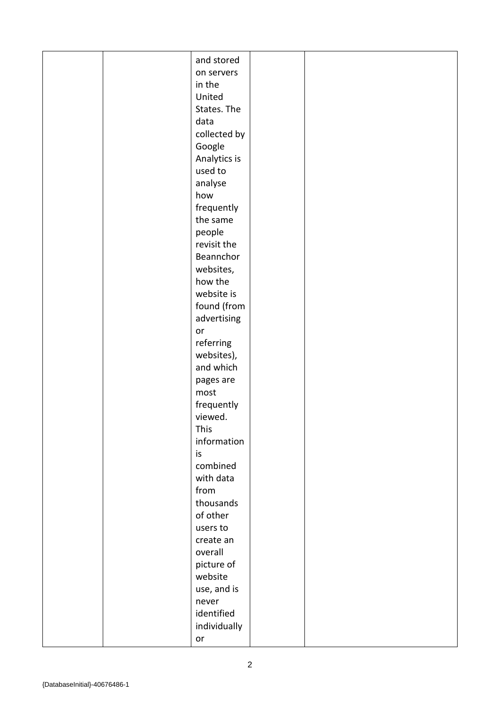|  | and stored              |  |
|--|-------------------------|--|
|  | on servers              |  |
|  | in the                  |  |
|  | United                  |  |
|  | States. The             |  |
|  | data                    |  |
|  | collected by            |  |
|  | Google                  |  |
|  | Analytics is            |  |
|  | used to                 |  |
|  | analyse                 |  |
|  | how                     |  |
|  | frequently              |  |
|  | the same                |  |
|  | people                  |  |
|  | revisit the             |  |
|  | Beannchor               |  |
|  | websites,               |  |
|  | how the                 |  |
|  | website is              |  |
|  | found (from             |  |
|  | advertising             |  |
|  | or                      |  |
|  |                         |  |
|  | referring               |  |
|  | websites),<br>and which |  |
|  |                         |  |
|  | pages are               |  |
|  | most                    |  |
|  | frequently              |  |
|  | viewed.                 |  |
|  | This                    |  |
|  | information             |  |
|  | is                      |  |
|  | combined                |  |
|  | with data               |  |
|  | from                    |  |
|  | thousands               |  |
|  | of other                |  |
|  | users to                |  |
|  | create an               |  |
|  | overall                 |  |
|  | picture of              |  |
|  | website                 |  |
|  | use, and is             |  |
|  | never                   |  |
|  | identified              |  |
|  | individually            |  |
|  | or                      |  |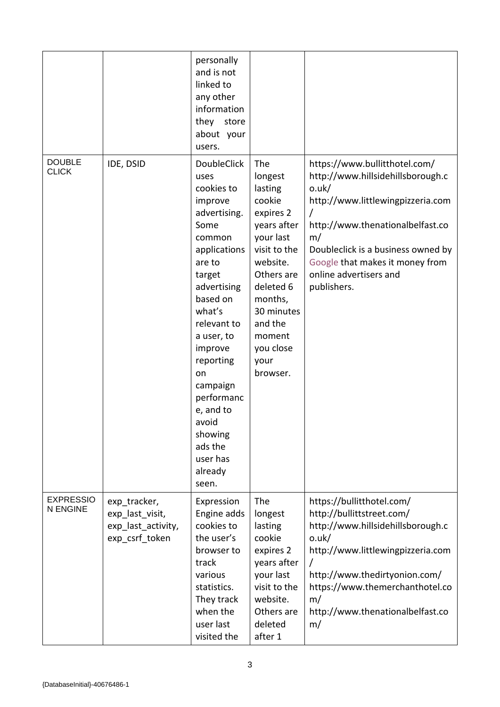|                                     |                                                                         | personally<br>and is not<br>linked to<br>any other<br>information<br>store<br>they<br>about your<br>users.                                                                                                                                                                                                                      |                                                                                                                                                                                                                    |                                                                                                                                                                                                                                                                              |
|-------------------------------------|-------------------------------------------------------------------------|---------------------------------------------------------------------------------------------------------------------------------------------------------------------------------------------------------------------------------------------------------------------------------------------------------------------------------|--------------------------------------------------------------------------------------------------------------------------------------------------------------------------------------------------------------------|------------------------------------------------------------------------------------------------------------------------------------------------------------------------------------------------------------------------------------------------------------------------------|
| <b>DOUBLE</b><br><b>CLICK</b>       | IDE, DSID                                                               | <b>DoubleClick</b><br>uses<br>cookies to<br>improve<br>advertising.<br>Some<br>common<br>applications<br>are to<br>target<br>advertising<br>based on<br>what's<br>relevant to<br>a user, to<br>improve<br>reporting<br>on<br>campaign<br>performanc<br>e, and to<br>avoid<br>showing<br>ads the<br>user has<br>already<br>seen. | The<br>longest<br>lasting<br>cookie<br>expires 2<br>years after<br>your last<br>visit to the<br>website.<br>Others are<br>deleted 6<br>months,<br>30 minutes<br>and the<br>moment<br>you close<br>your<br>browser. | https://www.bullitthotel.com/<br>http://www.hillsidehillsborough.c<br>o.uk/<br>http://www.littlewingpizzeria.com<br>http://www.thenationalbelfast.co<br>m/<br>Doubleclick is a business owned by<br>Google that makes it money from<br>online advertisers and<br>publishers. |
| <b>EXPRESSIO</b><br><b>N ENGINE</b> | exp tracker,<br>exp last visit,<br>exp_last_activity,<br>exp csrf token | Expression<br>Engine adds<br>cookies to<br>the user's<br>browser to<br>track<br>various<br>statistics.<br>They track<br>when the<br>user last<br>visited the                                                                                                                                                                    | The<br>longest<br>lasting<br>cookie<br>expires 2<br>years after<br>your last<br>visit to the<br>website.<br>Others are<br>deleted<br>after 1                                                                       | https://bullitthotel.com/<br>http://bullittstreet.com/<br>http://www.hillsidehillsborough.c<br>o.uk/<br>http://www.littlewingpizzeria.com<br>$\prime$<br>http://www.thedirtyonion.com/<br>https://www.themerchanthotel.co<br>m/<br>http://www.thenationalbelfast.co<br>m/    |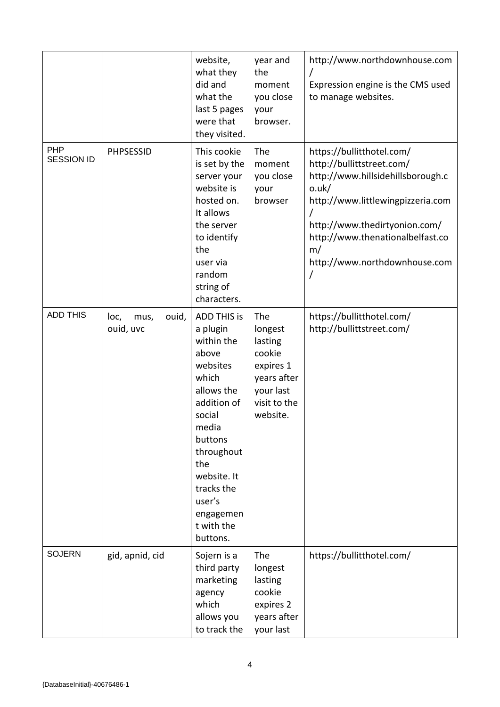|                                 |                                    | website,<br>what they<br>did and<br>what the<br>last 5 pages<br>were that<br>they visited.                                                                                                                                               | year and<br>the<br>moment<br>you close<br>your<br>browser.                                               | http://www.northdownhouse.com<br>Expression engine is the CMS used<br>to manage websites.                                                                                                                                                                  |
|---------------------------------|------------------------------------|------------------------------------------------------------------------------------------------------------------------------------------------------------------------------------------------------------------------------------------|----------------------------------------------------------------------------------------------------------|------------------------------------------------------------------------------------------------------------------------------------------------------------------------------------------------------------------------------------------------------------|
| <b>PHP</b><br><b>SESSION ID</b> | <b>PHPSESSID</b>                   | This cookie<br>is set by the<br>server your<br>website is<br>hosted on.<br>It allows<br>the server<br>to identify<br>the<br>user via<br>random<br>string of<br>characters.                                                               | The<br>moment<br>you close<br>your<br>browser                                                            | https://bullitthotel.com/<br>http://bullittstreet.com/<br>http://www.hillsidehillsborough.c<br>o.uk/<br>http://www.littlewingpizzeria.com<br>http://www.thedirtyonion.com/<br>http://www.thenationalbelfast.co<br>m/<br>http://www.northdownhouse.com<br>/ |
| <b>ADD THIS</b>                 | loc,<br>ouid,<br>mus,<br>ouid, uvc | <b>ADD THIS is</b><br>a plugin<br>within the<br>above<br>websites<br>which<br>allows the<br>addition of<br>social<br>media<br>buttons<br>throughout<br>the<br>website. It<br>tracks the<br>user's<br>engagemen<br>t with the<br>buttons. | The<br>longest<br>lasting<br>cookie<br>expires 1<br>years after<br>your last<br>visit to the<br>website. | https://bullitthotel.com/<br>http://bullittstreet.com/                                                                                                                                                                                                     |
| <b>SOJERN</b>                   | gid, apnid, cid                    | Sojern is a<br>third party<br>marketing<br>agency<br>which<br>allows you<br>to track the                                                                                                                                                 | The<br>longest<br>lasting<br>cookie<br>expires 2<br>years after<br>your last                             | https://bullitthotel.com/                                                                                                                                                                                                                                  |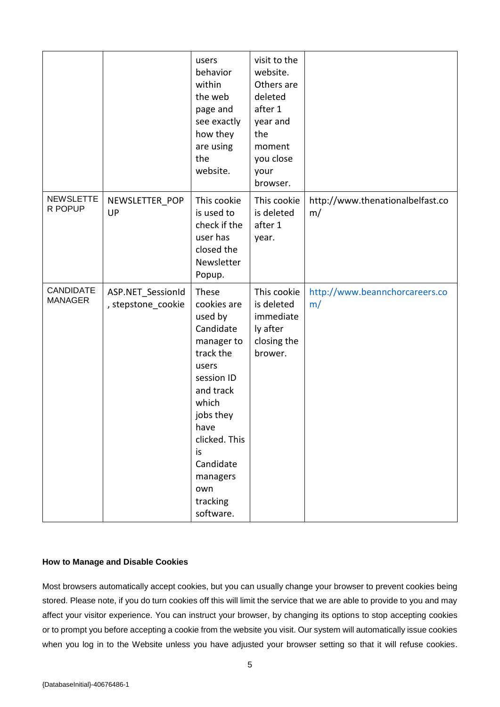|                                    |                                         | users<br>behavior<br>within<br>the web<br>page and<br>see exactly<br>how they<br>are using<br>the<br>website.                                                                                                             | visit to the<br>website.<br>Others are<br>deleted<br>after 1<br>year and<br>the<br>moment<br>you close<br>your<br>browser. |                                        |
|------------------------------------|-----------------------------------------|---------------------------------------------------------------------------------------------------------------------------------------------------------------------------------------------------------------------------|----------------------------------------------------------------------------------------------------------------------------|----------------------------------------|
| <b>NEWSLETTE</b><br>R POPUP        | NEWSLETTER_POP<br>UP                    | This cookie<br>is used to<br>check if the<br>user has<br>closed the<br>Newsletter<br>Popup.                                                                                                                               | This cookie<br>is deleted<br>after 1<br>year.                                                                              | http://www.thenationalbelfast.co<br>m/ |
| <b>CANDIDATE</b><br><b>MANAGER</b> | ASP.NET SessionId<br>, stepstone_cookie | These<br>cookies are<br>used by<br>Candidate<br>manager to<br>track the<br>users<br>session ID<br>and track<br>which<br>jobs they<br>have<br>clicked. This<br>is<br>Candidate<br>managers<br>own<br>tracking<br>software. | This cookie<br>is deleted<br>immediate<br>ly after<br>closing the<br>brower.                                               | http://www.beannchorcareers.co<br>m/   |

# **How to Manage and Disable Cookies**

Most browsers automatically accept cookies, but you can usually change your browser to prevent cookies being stored. Please note, if you do turn cookies off this will limit the service that we are able to provide to you and may affect your visitor experience. You can instruct your browser, by changing its options to stop accepting cookies or to prompt you before accepting a cookie from the website you visit. Our system will automatically issue cookies when you log in to the Website unless you have adjusted your browser setting so that it will refuse cookies.